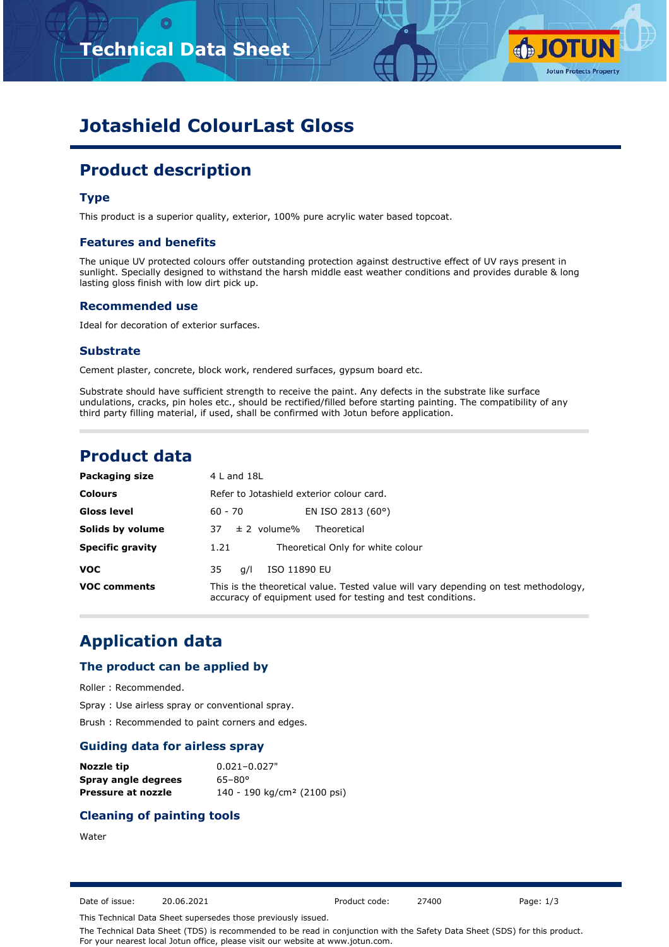# **Technical Data Sheet**



# **Jotashield ColourLast Gloss**

# **Product description**

## **Type**

This product is a superior quality, exterior, 100% pure acrylic water based topcoat.

### **Features and benefits**

The unique UV protected colours offer outstanding protection against destructive effect of UV rays present in sunlight. Specially designed to withstand the harsh middle east weather conditions and provides durable & long lasting gloss finish with low dirt pick up.

### **Recommended use**

Ideal for decoration of exterior surfaces.

#### **Substrate**

Cement plaster, concrete, block work, rendered surfaces, gypsum board etc.

Substrate should have sufficient strength to receive the paint. Any defects in the substrate like surface undulations, cracks, pin holes etc., should be rectified/filled before starting painting. The compatibility of any third party filling material, if used, shall be confirmed with Jotun before application.

## **Product data**

| Packaging size          | 4 L and 18L                                                                                                                                         |
|-------------------------|-----------------------------------------------------------------------------------------------------------------------------------------------------|
| <b>Colours</b>          | Refer to Jotashield exterior colour card.                                                                                                           |
| Gloss level             | EN ISO 2813 (60°)<br>60 - 70                                                                                                                        |
| Solids by volume        | $\pm$ 2 volume%<br>Theoretical<br>37.                                                                                                               |
| <b>Specific gravity</b> | Theoretical Only for white colour<br>1.21                                                                                                           |
| <b>VOC</b>              | ISO 11890 EU<br>35<br>a/l                                                                                                                           |
| <b>VOC comments</b>     | This is the theoretical value. Tested value will vary depending on test methodology,<br>accuracy of equipment used for testing and test conditions. |

## **Application data**

#### **The product can be applied by**

Roller : Recommended.

Spray : Use airless spray or conventional spray.

Brush : Recommended to paint corners and edges.

#### **Guiding data for airless spray**

| Nozzle tip          | $0.021 - 0.027"$                        |
|---------------------|-----------------------------------------|
| Spray angle degrees | $65 - 80^{\circ}$                       |
| Pressure at nozzle  | 140 - 190 kg/cm <sup>2</sup> (2100 psi) |

### **Cleaning of painting tools**

#### Water

Date of issue: 20.06.2021 Product code: 27400 Page: 1/3

This Technical Data Sheet supersedes those previously issued.

The Technical Data Sheet (TDS) is recommended to be read in conjunction with the Safety Data Sheet (SDS) for this product. For your nearest local Jotun office, please visit our website at www.jotun.com.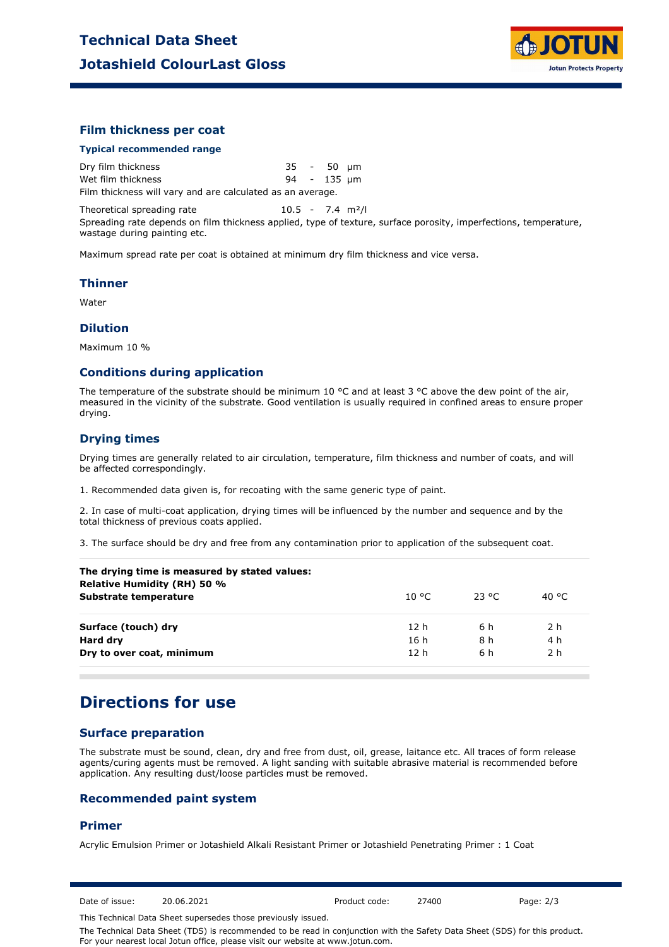

### **Film thickness per coat**

#### **Typical recommended range**

Dry film thickness 35 - 50 µm Wet film thickness and the set of the 135 pm Film thickness will vary and are calculated as an average.

Theoretical spreading rate 10.5 - 7.4 m<sup>2</sup>/l

Spreading rate depends on film thickness applied, type of texture, surface porosity, imperfections, temperature, wastage during painting etc.

Maximum spread rate per coat is obtained at minimum dry film thickness and vice versa.

#### **Thinner**

Water

#### **Dilution**

Maximum 10 %

#### **Conditions during application**

The temperature of the substrate should be minimum 10 °C and at least 3 °C above the dew point of the air, measured in the vicinity of the substrate. Good ventilation is usually required in confined areas to ensure proper drying.

## **Drying times**

Drying times are generally related to air circulation, temperature, film thickness and number of coats, and will be affected correspondingly.

1. Recommended data given is, for recoating with the same generic type of paint.

2. In case of multi-coat application, drying times will be influenced by the number and sequence and by the total thickness of previous coats applied.

3. The surface should be dry and free from any contamination prior to application of the subsequent coat.

| 10 °C.          | 23 °C | 40 °C |
|-----------------|-------|-------|
| 12 h            | 6 h   | 2 h   |
| 16 h            | 8 h   | 4 h   |
| 12 <sub>h</sub> | 6 h   | 2 h   |
|                 |       |       |

## **Directions for use**

## **Surface preparation**

The substrate must be sound, clean, dry and free from dust, oil, grease, laitance etc. All traces of form release agents/curing agents must be removed. A light sanding with suitable abrasive material is recommended before application. Any resulting dust/loose particles must be removed.

#### **Recommended paint system**

#### **Primer**

Acrylic Emulsion Primer or Jotashield Alkali Resistant Primer or Jotashield Penetrating Primer : 1 Coat

Date of issue: 20.06.2021 Product code: 27400 Page: 2/3

This Technical Data Sheet supersedes those previously issued.

The Technical Data Sheet (TDS) is recommended to be read in conjunction with the Safety Data Sheet (SDS) for this product. For your nearest local Jotun office, please visit our website at www.jotun.com.